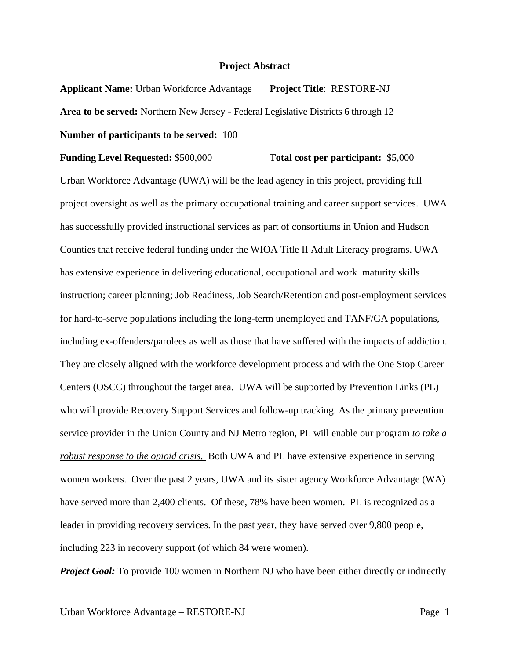## **Project Abstract**

**Applicant Name:** Urban Workforce Advantage **Project Title**: RESTORE-NJ **Area to be served:** Northern New Jersey - Federal Legislative Districts 6 through 12 **Number of participants to be served:** 100

## **Funding Level Requested:** \$500,000 T**otal cost per participant:** \$5,000

Urban Workforce Advantage (UWA) will be the lead agency in this project, providing full project oversight as well as the primary occupational training and career support services. UWA has successfully provided instructional services as part of consortiums in Union and Hudson Counties that receive federal funding under the WIOA Title II Adult Literacy programs. UWA has extensive experience in delivering educational, occupational and work maturity skills instruction; career planning; Job Readiness, Job Search/Retention and post-employment services for hard-to-serve populations including the long-term unemployed and TANF/GA populations, including ex-offenders/parolees as well as those that have suffered with the impacts of addiction. They are closely aligned with the workforce development process and with the One Stop Career Centers (OSCC) throughout the target area. UWA will be supported by Prevention Links (PL) who will provide Recovery Support Services and follow-up tracking. As the primary prevention service provider in the Union County and NJ Metro region, PL will enable our program *to take a robust response to the opioid crisis.* Both UWA and PL have extensive experience in serving women workers. Over the past 2 years, UWA and its sister agency Workforce Advantage (WA) have served more than 2,400 clients. Of these, 78% have been women. PL is recognized as a leader in providing recovery services. In the past year, they have served over 9,800 people, including 223 in recovery support (of which 84 were women).

*Project Goal:* To provide 100 women in Northern NJ who have been either directly or indirectly